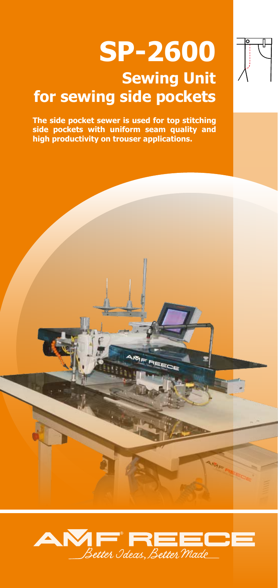# **SP-2600 Sewing Unit for sewing side pockets**



**The side pocket sewer is used for top stitching side pockets with uniform seam quality and high productivity on trouser applications.**